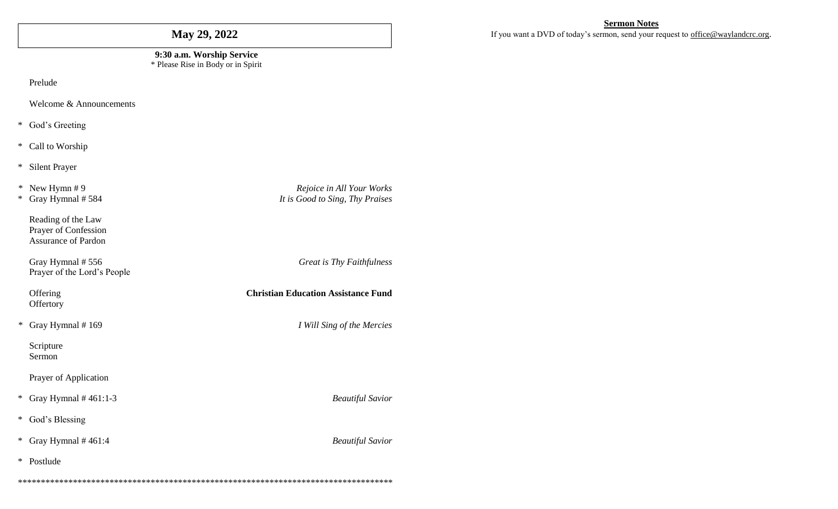# May 29, 2022

#### 9:30 a.m. Worship Service \* Please Rise in Body or in Spirit

Prelude

Welcome & Announcements

\* God's Greeting

\* Call to Worship

\* Silent Prayer

\* New Hymn  $#9$ \* Gray Hymnal # 584

> Reading of the Law Prayer of Confession Assurance of Pardon

Gray Hymnal #556 Prayer of the Lord's People

Offering Offertory

\* Gray Hymnal  $#169$ 

Scripture Sermon

Prayer of Application

\* Gray Hymnal  $#461:1-3$ 

\* God's Blessing

\* Gray Hymnal  $#461:4$ 

\* Postlude

**Sermon Notes** 

If you want a DVD of today's sermon, send your request to office@waylandcrc.org.

Rejoice in All Your Works It is Good to Sing, Thy Praises

**Great is Thy Faithfulness** 

**Christian Education Assistance Fund** 

I Will Sing of the Mercies

**Beautiful Savior** 

**Beautiful Savior**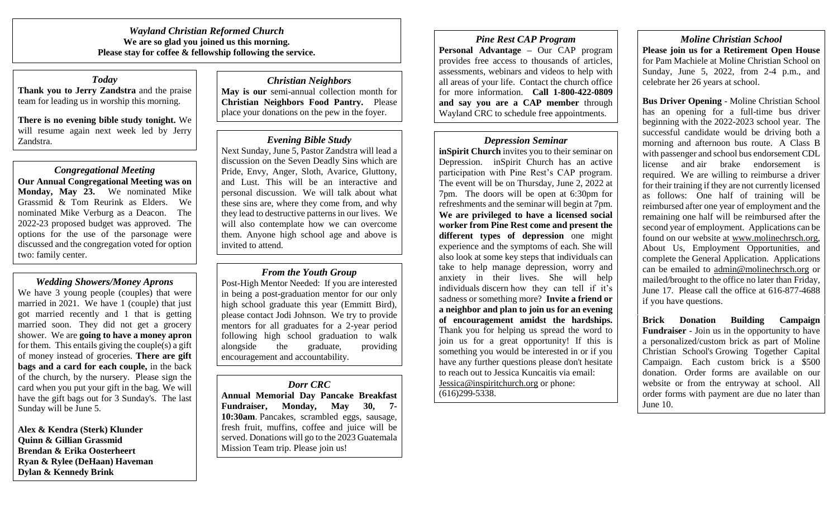*Wayland Christian Reformed Church* **We are so glad you joined us this morning. Please stay for coffee & fellowship following the service.** 

# *Today*

**Thank you to Jerry Zandstra** and the praise team for leading us in worship this morning.

**There is no evening bible study tonight.** We will resume again next week led by Jerry Zandstra.

# *Congregational Meeting*

**Our Annual Congregational Meeting was on Monday, May 23.** We nominated Mike Grassmid & Tom Reurink as Elders. We nominated Mike Verburg as a Deacon. The 2022-23 proposed budget was approved. The options for the use of the parsonage were discussed and the congregation voted for option two: family center.

## *Wedding Showers/Money Aprons*

We have 3 young people (couples) that were married in 2021. We have 1 (couple) that just got married recently and 1 that is getting married soon. They did not get a grocery shower. We are **going to have a money apron** for them. This entails giving the couple(s) a gift of money instead of groceries. **There are gift bags and a card for each couple,** in the back of the church, by the nursery. Please sign the card when you put your gift in the bag. We will have the gift bags out for 3 Sunday's. The last Sunday will be June 5.

**Alex & Kendra (Sterk) Klunder Quinn & Gillian Grassmid Brendan & Erika Oosterheert Ryan & Rylee (DeHaan) Haveman Dylan & Kennedy Brink**

*Christian Neighbors* **May is our** semi-annual collection month for **Christian Neighbors Food Pantry.** Please place your donations on the pew in the foyer.

#### *Evening Bible Study*

Next Sunday, June 5, Pastor Zandstra will lead a discussion on the Seven Deadly Sins which are Pride, Envy, Anger, Sloth, Avarice, Gluttony, and Lust. This will be an interactive and personal discussion. We will talk about what these sins are, where they come from, and why they lead to destructive patterns in our lives. We will also contemplate how we can overcome them. Anyone high school age and above is invited to attend.

## *From the Youth Group*

Post-High Mentor Needed: If you are interested in being a post-graduation mentor for our only high school graduate this year (Emmitt Bird), please contact Jodi Johnson. We try to provide mentors for all graduates for a 2-year period following high school graduation to walk alongside the graduate, providing encouragement and accountability.

#### *Dorr CRC*

**Annual Memorial Day Pancake Breakfast Fundraiser, Monday, May 30, 7- 10:30am**. Pancakes, scrambled eggs, sausage, fresh fruit, muffins, coffee and juice will be served. Donations will go to the 2023 Guatemala Mission Team trip. Please join us!

*Pine Rest CAP Program* **Personal Advantage –** Our CAP program provides free access to thousands of articles, assessments, webinars and videos to help with all areas of your life. Contact the church office for more information. **Call 1-800-422-0809 and say you are a CAP member** through Wayland CRC to schedule free appointments.

# *Depression Seminar*

**inSpirit Church** invites you to their seminar on Depression. inSpirit Church has an active participation with Pine Rest's CAP program. The event will be on Thursday, June 2, 2022 at 7pm. The doors will be open at 6:30pm for refreshments and the seminar will begin at 7pm. **We are privileged to have a licensed social worker from Pine Rest come and present the different types of depression** one might experience and the symptoms of each. She will also look at some key steps that individuals can take to help manage depression, worry and anxiety in their lives. She will help individuals discern how they can tell if it's sadness or something more? **Invite a friend or a neighbor and plan to join us for an evening of encouragement amidst the hardships.** Thank you for helping us spread the word to join us for a great opportunity! If this is something you would be interested in or if you have any further questions please don't hesitate to reach out to Jessica Kuncaitis via email: [Jessica@inspiritchurch.org](mailto:Jessica@inspiritchurch.org) or phone: (616)299-5338.

*Moline Christian School* **Please join us for a Retirement Open House** for Pam Machiele at Moline Christian School on Sunday, June 5, 2022, from 2-4 p.m., and celebrate her 26 years at school.

**Bus Driver Opening** - Moline Christian School has an opening for a full-time bus driver beginning with the 2022-2023 school year. The successful candidate would be driving both a morning and afternoon bus route. A Class B with passenger and school bus endorsement CDL license and air brake endorsement is required. We are willing to reimburse a driver for their training if they are not currently licensed as follows: One half of training will be reimbursed after one year of employment and the remaining one half will be reimbursed after the second year of employment. Applications can be found on our website at [www.molinechrsch.org,](http://www.molinechrsch.org/) About Us, Employment Opportunities, and complete the General Application. Applications can be emailed to [admin@molinechrsch.org](mailto:admin@molinechrsch.org) or mailed/brought to the office no later than Friday, June 17. Please call the office at 616-877-4688 if you have questions.

**Brick Donation Building Campaign Fundraiser** - Join us in the opportunity to have a personalized/custom brick as part of Moline Christian School's Growing Together Capital Campaign. Each custom brick is a \$500 donation. Order forms are available on our website or from the entryway at school. All order forms with payment are due no later than June 10.